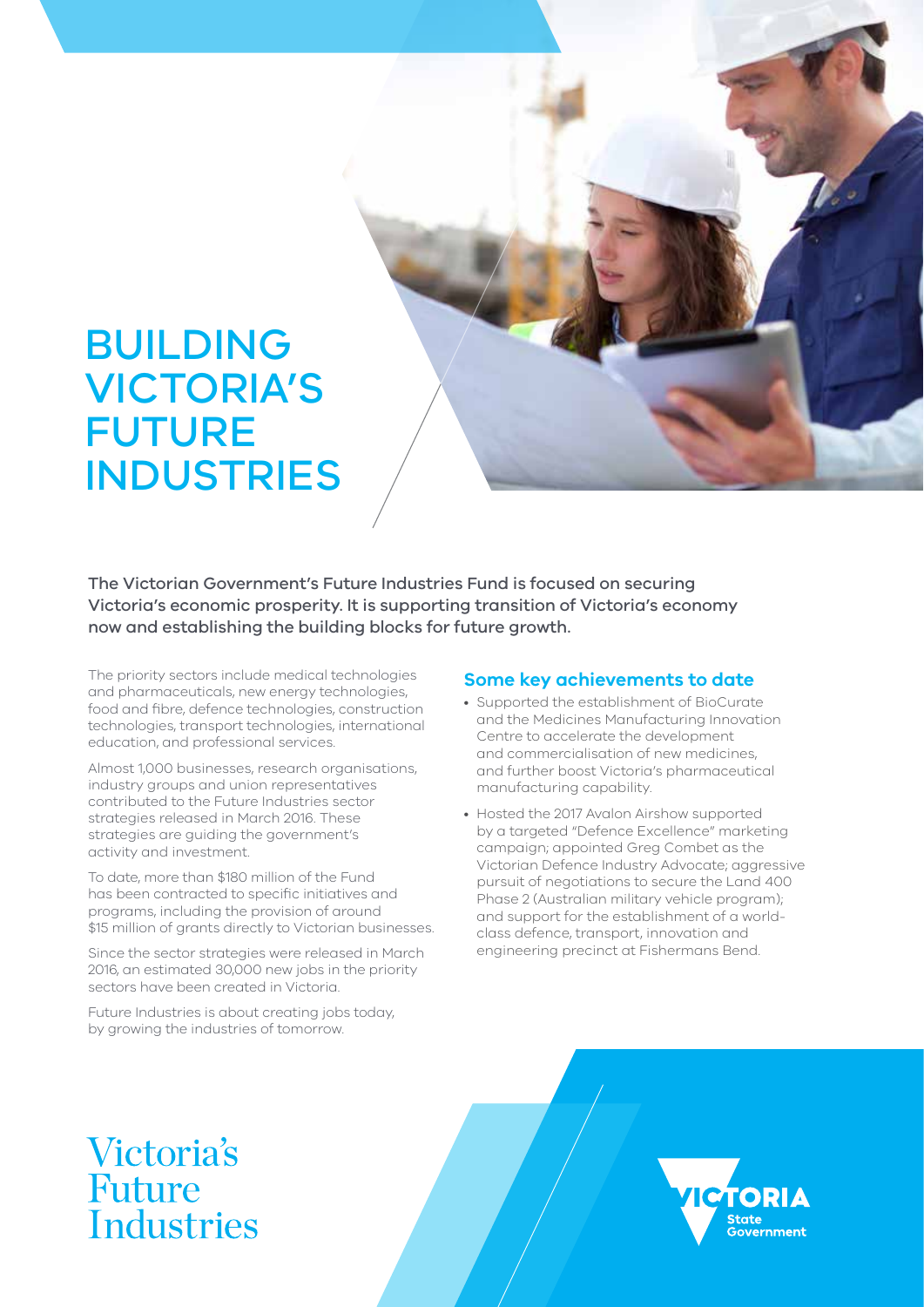# BUILDING VICTORIA'S FUTURE INDUSTRIES

The Victorian Government's Future Industries Fund is focused on securing Victoria's economic prosperity. It is supporting transition of Victoria's economy now and establishing the building blocks for future growth.

The priority sectors include medical technologies and pharmaceuticals, new energy technologies, food and fibre, defence technologies, construction technologies, transport technologies, international education, and professional services.

Almost 1,000 businesses, research organisations, industry groups and union representatives contributed to the Future Industries sector strategies released in March 2016. These strategies are guiding the government's activity and investment.

To date, more than \$180 million of the Fund has been contracted to specific initiatives and programs, including the provision of around \$15 million of grants directly to Victorian businesses.

Since the sector strategies were released in March 2016, an estimated 30,000 new jobs in the priority sectors have been created in Victoria.

Future Industries is about creating jobs today, by growing the industries of tomorrow.

#### **Some key achievements to date**

- Supported the establishment of BioCurate and the Medicines Manufacturing Innovation Centre to accelerate the development and commercialisation of new medicines, and further boost Victoria's pharmaceutical manufacturing capability.
- Hosted the 2017 Avalon Airshow supported by a targeted "Defence Excellence" marketing campaign; appointed Greg Combet as the Victorian Defence Industry Advocate; aggressive pursuit of negotiations to secure the Land 400 Phase 2 (Australian military vehicle program); and support for the establishment of a worldclass defence, transport, innovation and engineering precinct at Fishermans Bend.

# **Victoria's** Future Industries